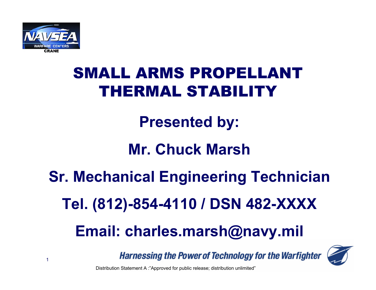

**Presented by:**

## **Mr. Chuck Marsh**

# **Sr. Mechanical Engineering Technician**

**Tel. (812)-854-4110 / DSN 482-XXXX**

## **Email: charles.marsh@navy.mil**

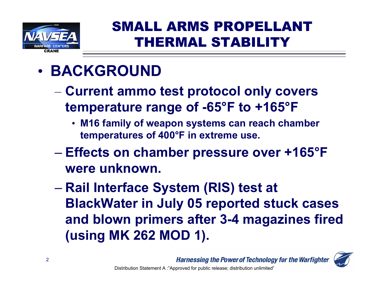

## • **BACKGROUND**

- **Hart Committee Committee Current ammo test protocol only covers temperature range of -65°F to +165°F**
	- **M16 family of weapon systems can reach chamber temperatures of 400°F in extreme use.**
- **Effects on chamber pressure over +165°F were unknown.**
- **Rail Interface System (RIS) test at BlackWater in July 05 reported stuck cases and blown primers after 3-4 magazines fired (using MK 262 MOD 1).**

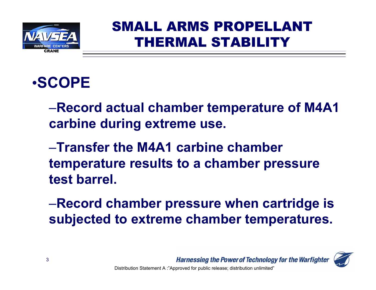

## •**SCOPE**

–**Record actual chamber temperature of M4A1 carbine during extreme use.**

–**Transfer the M4A1 carbine chamber temperature results to a chamber pressure test barrel.**

–**Record chamber pressure when cartridge is subjected to extreme chamber temperatures.**

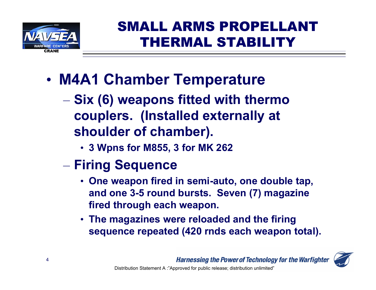

- • **M4A1 Chamber Temperature**
	- **Hart Committee Committee Six (6) weapons fitted with thermo couplers. (Installed externally at shoulder of chamber).**
		- **3 Wpns for M855, 3 for MK 262**
	- the control of the control of the control of **Firing Sequence**
		- **One weapon fired in semi-auto, one double tap, and one 3-5 round bursts. Seven (7) magazine fired through each weapon.**
		- **The magazines were reloaded and the firing sequence repeated (420 rnds each weapon total).**

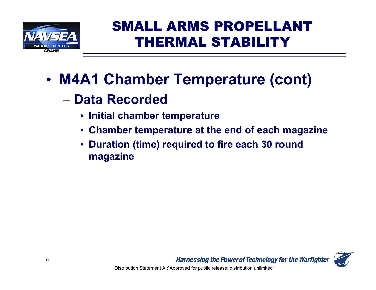

- • **M4A1 Chamber Temperature (cont)**
	- **Data Recorded**
		- **Initial chamber temperature**
		- **Chamber temperature at the end of each magazine**
		- • **Duration (time) required to fire each 30 round magazine**

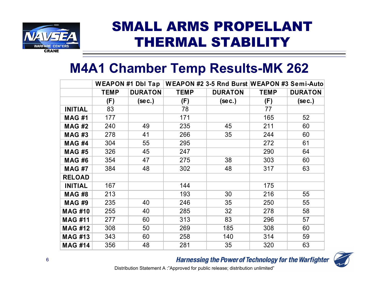

### **M4A1 Chamber Temp Results-MK 262**

|                | <b>WEAPON #1 Dbl Tap</b> |                |             |                | WEAPON #2 3-5 Rnd Burst WEAPON #3 Semi-Auto |                |  |
|----------------|--------------------------|----------------|-------------|----------------|---------------------------------------------|----------------|--|
|                | <b>TEMP</b>              | <b>DURATON</b> | <b>TEMP</b> | <b>DURATON</b> | <b>TEMP</b>                                 | <b>DURATON</b> |  |
|                | (F)                      | (sec.)         | (F)         | $($ se c. $)$  | (F)                                         | $($ se c. $)$  |  |
| <b>INITIAL</b> | 83                       |                | 78          |                | 77                                          |                |  |
| <b>MAG#1</b>   | 177                      |                | 171         |                | 165                                         | 52             |  |
| <b>MAG #2</b>  | 240                      | 49             | 235         | 45             | 211                                         | 60             |  |
| <b>MAG#3</b>   | 278                      | 41             | 266         | 35             | 244                                         | 60             |  |
| <b>MAG #4</b>  | 304                      | 55             | 295         |                | 272                                         | 61             |  |
| <b>MAG #5</b>  | 326                      | 45             | 247         |                | 290                                         | 64             |  |
| <b>MAG#6</b>   | 354                      | 47             | 275         | 38             | 303                                         | 60             |  |
| <b>MAG#7</b>   | 384                      | 48             | 302         | 48             | 317                                         | 63             |  |
| <b>RELOAD</b>  |                          |                |             |                |                                             |                |  |
| <b>INITIAL</b> | 167                      |                | 144         |                | 175                                         |                |  |
| <b>MAG#8</b>   | 213                      |                | 193         | 30             | 216                                         | 55             |  |
| <b>MAG#9</b>   | 235                      | 40             | 246         | 35             | 250                                         | 55             |  |
| <b>MAG #10</b> | 255                      | 40             | 285         | 32             | 278                                         | 58             |  |
| <b>MAG #11</b> | 277                      | 60             | 313         | 83             | 296                                         | 57             |  |
| <b>MAG #12</b> | 308                      | 50             | 269         | 185            | 308                                         | 60             |  |
| <b>MAG #13</b> | 343                      | 60             | 258         | 140            | 314                                         | 59             |  |
| <b>MAG #14</b> | 356                      | 48             | 281         | 35             | 320                                         | 63             |  |

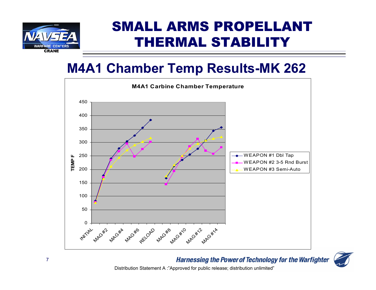

### **M4A1 Chamber Temp Results-MK 262**



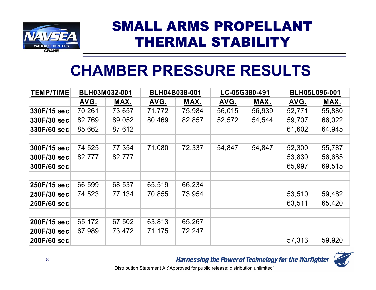

## **CHAMBER PRESSURE RESULTS**

| <b>TEMP/TIME</b> | BLH03M032-001 |        | BLH04B038-001 |        | LC-05G380-491 |        | <b>BLH05L096-001</b> |        |
|------------------|---------------|--------|---------------|--------|---------------|--------|----------------------|--------|
|                  | AVG.          | MAX.   | AVG.          | MAX.   | AVG.          | MAX.   | AVG.                 | MAX.   |
| 330F/15 sec      | 70,261        | 73,657 | 71,772        | 75,984 | 56,015        | 56,939 | 52,771               | 55,880 |
| 330F/30 sec      | 82,769        | 89,052 | 80,469        | 82,857 | 52,572        | 54,544 | 59,707               | 66,022 |
| 330F/60 sec      | 85,662        | 87,612 |               |        |               |        | 61,602               | 64,945 |
|                  |               |        |               |        |               |        |                      |        |
| 300F/15 sec      | 74,525        | 77,354 | 71,080        | 72,337 | 54,847        | 54,847 | 52,300               | 55,787 |
| 300F/30 sec      | 82,777        | 82,777 |               |        |               |        | 53,830               | 56,685 |
| 300F/60 sec      |               |        |               |        |               |        | 65,997               | 69,515 |
|                  |               |        |               |        |               |        |                      |        |
| 250F/15 sec      | 66,599        | 68,537 | 65,519        | 66,234 |               |        |                      |        |
| 250F/30 sec      | 74,523        | 77,134 | 70,855        | 73,954 |               |        | 53,510               | 59,482 |
| 250F/60 sec      |               |        |               |        |               |        | 63,511               | 65,420 |
|                  |               |        |               |        |               |        |                      |        |
| 200F/15 sec      | 65,172        | 67,502 | 63,813        | 65,267 |               |        |                      |        |
| 200F/30 sec      | 67,989        | 73,472 | 71,175        | 72,247 |               |        |                      |        |
| 200F/60 sec      |               |        |               |        |               |        | 57,313               | 59,920 |

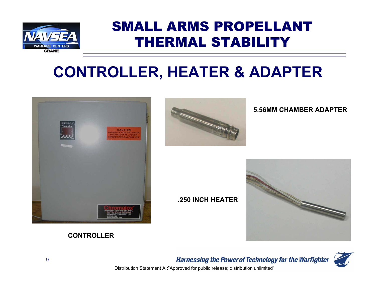

## **CONTROLLER, HEATER & ADAPTER**





#### **5.56MM CHAMBER ADAPTER**

#### **.250 INCH HEATER**





#### **CONTROLLER**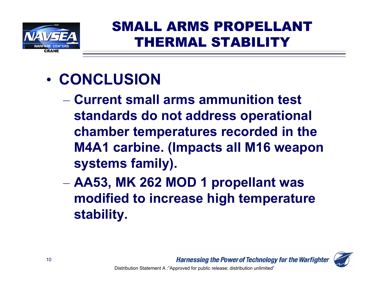

## • **CONCLUSION**

- **Current small arms ammunition test standards do not address operational chamber temperatures recorded in the M4A1 carbine. (Impacts all M16 weapon systems family).**
- – **AA53, MK 262 MOD 1 propellant was modified to increase high temperature stability.**